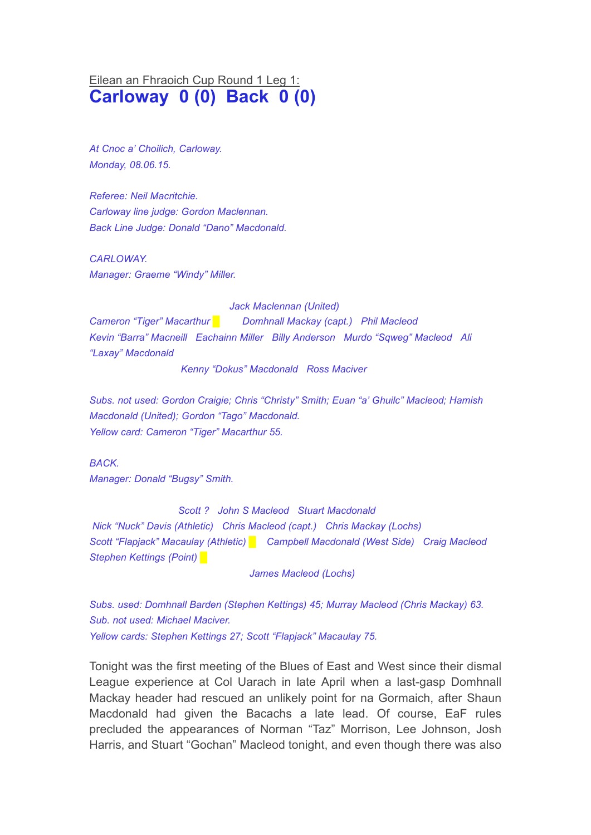## Eilean an Fhraoich Cup Round 1 Leg 1: **Carloway 0 (0) Back 0 (0)**

*At Cnoc a' Choilich, Carloway. Monday, 08.06.15.*

*Referee: Neil Macritchie. Carloway line judge: Gordon Maclennan. Back Line Judge: Donald "Dano" Macdonald.*

*CARLOWAY. Manager: Graeme "Windy" Miller.*

*Jack Maclennan (United)*

*Cameron "Tiger" Macarthur █ Domhnall Mackay (capt.) Phil Macleod Kevin "Barra" Macneill Eachainn Miller Billy Anderson Murdo "Sqweg" Macleod Ali "Laxay" Macdonald*

*Kenny "Dokus" Macdonald Ross Maciver*

*Subs. not used: Gordon Craigie; Chris "Christy" Smith; Euan "a' Ghuilc" Macleod; Hamish Macdonald (United); Gordon "Tago" Macdonald. Yellow card: Cameron "Tiger" Macarthur 55.*

*BACK. Manager: Donald "Bugsy" Smith.*

*Scott ? John S Macleod Stuart Macdonald Nick "Nuck" Davis (Athletic) Chris Macleod (capt.) Chris Mackay (Lochs) Scott "Flapjack" Macaulay (Athletic) █ Campbell Macdonald (West Side) Craig Macleod Stephen Kettings (Point) █*

*James Macleod (Lochs)*

*Subs. used: Domhnall Barden (Stephen Kettings) 45; Murray Macleod (Chris Mackay) 63. Sub. not used: Michael Maciver. Yellow cards: Stephen Kettings 27; Scott "Flapjack" Macaulay 75.*

Tonight was the first meeting of the Blues of East and West since their dismal League experience at Col Uarach in late April when a last-gasp Domhnall Mackay header had rescued an unlikely point for na Gormaich, after Shaun Macdonald had given the Bacachs a late lead. Of course, EaF rules precluded the appearances of Norman "Taz" Morrison, Lee Johnson, Josh Harris, and Stuart "Gochan" Macleod tonight, and even though there was also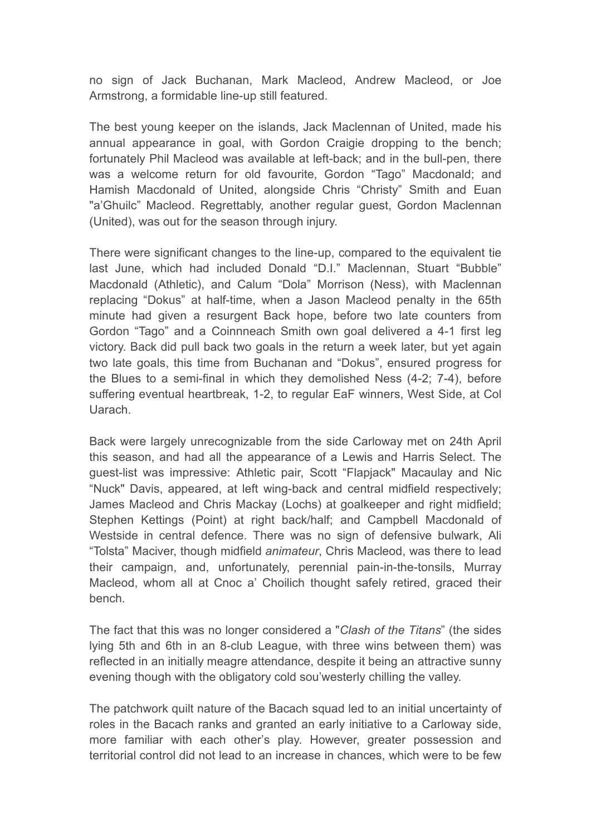no sign of Jack Buchanan, Mark Macleod, Andrew Macleod, or Joe Armstrong, a formidable line-up still featured.

The best young keeper on the islands, Jack Maclennan of United, made his annual appearance in goal, with Gordon Craigie dropping to the bench; fortunately Phil Macleod was available at left-back; and in the bull-pen, there was a welcome return for old favourite, Gordon "Tago" Macdonald; and Hamish Macdonald of United, alongside Chris "Christy" Smith and Euan "a'Ghuilc" Macleod. Regrettably, another regular guest, Gordon Maclennan (United), was out for the season through injury.

There were significant changes to the line-up, compared to the equivalent tie last June, which had included Donald "D.I." Maclennan, Stuart "Bubble" Macdonald (Athletic), and Calum "Dola" Morrison (Ness), with Maclennan replacing "Dokus" at half-time, when a Jason Macleod penalty in the 65th minute had given a resurgent Back hope, before two late counters from Gordon "Tago" and a Coinnneach Smith own goal delivered a 4-1 first leg victory. Back did pull back two goals in the return a week later, but yet again two late goals, this time from Buchanan and "Dokus", ensured progress for the Blues to a semi-final in which they demolished Ness (4-2; 7-4), before suffering eventual heartbreak, 1-2, to regular EaF winners, West Side, at Col Uarach.

Back were largely unrecognizable from the side Carloway met on 24th April this season, and had all the appearance of a Lewis and Harris Select. The guest-list was impressive: Athletic pair, Scott "Flapjack" Macaulay and Nic "Nuck" Davis, appeared, at left wing-back and central midfield respectively; James Macleod and Chris Mackay (Lochs) at goalkeeper and right midfield; Stephen Kettings (Point) at right back/half; and Campbell Macdonald of Westside in central defence. There was no sign of defensive bulwark, Ali "Tolsta" Maciver, though midfield *animateur*, Chris Macleod, was there to lead their campaign, and, unfortunately, perennial pain-in-the-tonsils, Murray Macleod, whom all at Cnoc a' Choilich thought safely retired, graced their bench.

The fact that this was no longer considered a "*Clash of the Titans*" (the sides lying 5th and 6th in an 8-club League, with three wins between them) was reflected in an initially meagre attendance, despite it being an attractive sunny evening though with the obligatory cold sou'westerly chilling the valley.

The patchwork quilt nature of the Bacach squad led to an initial uncertainty of roles in the Bacach ranks and granted an early initiative to a Carloway side, more familiar with each other's play. However, greater possession and territorial control did not lead to an increase in chances, which were to be few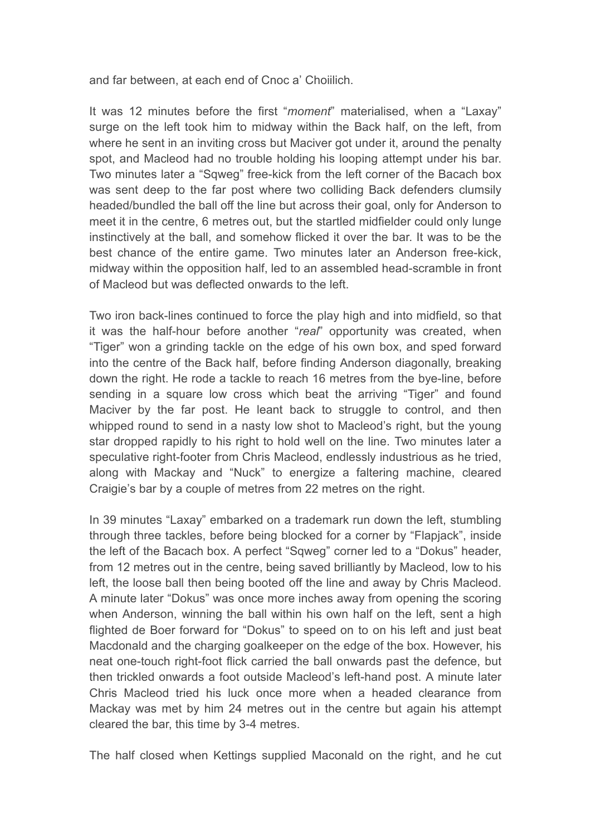and far between, at each end of Cnoc a' Choiilich.

It was 12 minutes before the first "*moment*" materialised, when a "Laxay" surge on the left took him to midway within the Back half, on the left, from where he sent in an inviting cross but Maciver got under it, around the penalty spot, and Macleod had no trouble holding his looping attempt under his bar. Two minutes later a "Sqweg" free-kick from the left corner of the Bacach box was sent deep to the far post where two colliding Back defenders clumsily headed/bundled the ball off the line but across their goal, only for Anderson to meet it in the centre, 6 metres out, but the startled midfielder could only lunge instinctively at the ball, and somehow flicked it over the bar. It was to be the best chance of the entire game. Two minutes later an Anderson free-kick, midway within the opposition half, led to an assembled head-scramble in front of Macleod but was deflected onwards to the left.

Two iron back-lines continued to force the play high and into midfield, so that it was the half-hour before another "*real*" opportunity was created, when "Tiger" won a grinding tackle on the edge of his own box, and sped forward into the centre of the Back half, before finding Anderson diagonally, breaking down the right. He rode a tackle to reach 16 metres from the bye-line, before sending in a square low cross which beat the arriving "Tiger" and found Maciver by the far post. He leant back to struggle to control, and then whipped round to send in a nasty low shot to Macleod's right, but the young star dropped rapidly to his right to hold well on the line. Two minutes later a speculative right-footer from Chris Macleod, endlessly industrious as he tried, along with Mackay and "Nuck" to energize a faltering machine, cleared Craigie's bar by a couple of metres from 22 metres on the right.

In 39 minutes "Laxay" embarked on a trademark run down the left, stumbling through three tackles, before being blocked for a corner by "Flapjack", inside the left of the Bacach box. A perfect "Sqweg" corner led to a "Dokus" header, from 12 metres out in the centre, being saved brilliantly by Macleod, low to his left, the loose ball then being booted off the line and away by Chris Macleod. A minute later "Dokus" was once more inches away from opening the scoring when Anderson, winning the ball within his own half on the left, sent a high flighted de Boer forward for "Dokus" to speed on to on his left and just beat Macdonald and the charging goalkeeper on the edge of the box. However, his neat one-touch right-foot flick carried the ball onwards past the defence, but then trickled onwards a foot outside Macleod's left-hand post. A minute later Chris Macleod tried his luck once more when a headed clearance from Mackay was met by him 24 metres out in the centre but again his attempt cleared the bar, this time by 3-4 metres.

The half closed when Kettings supplied Maconald on the right, and he cut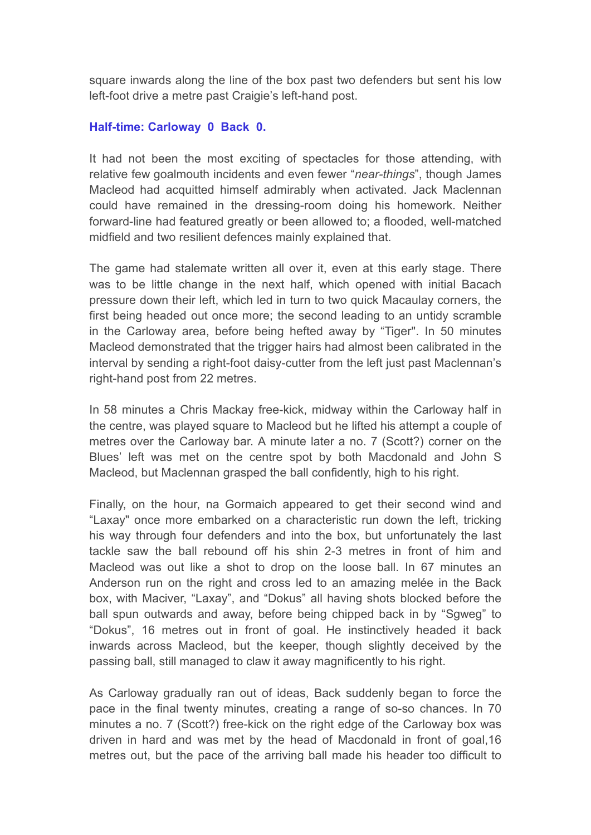square inwards along the line of the box past two defenders but sent his low left-foot drive a metre past Craigie's left-hand post.

## **Half-time: Carloway 0 Back 0.**

It had not been the most exciting of spectacles for those attending, with relative few goalmouth incidents and even fewer "*near-things*", though James Macleod had acquitted himself admirably when activated. Jack Maclennan could have remained in the dressing-room doing his homework. Neither forward-line had featured greatly or been allowed to; a flooded, well-matched midfield and two resilient defences mainly explained that.

The game had stalemate written all over it, even at this early stage. There was to be little change in the next half, which opened with initial Bacach pressure down their left, which led in turn to two quick Macaulay corners, the first being headed out once more; the second leading to an untidy scramble in the Carloway area, before being hefted away by "Tiger". In 50 minutes Macleod demonstrated that the trigger hairs had almost been calibrated in the interval by sending a right-foot daisy-cutter from the left just past Maclennan's right-hand post from 22 metres.

In 58 minutes a Chris Mackay free-kick, midway within the Carloway half in the centre, was played square to Macleod but he lifted his attempt a couple of metres over the Carloway bar. A minute later a no. 7 (Scott?) corner on the Blues' left was met on the centre spot by both Macdonald and John S Macleod, but Maclennan grasped the ball confidently, high to his right.

Finally, on the hour, na Gormaich appeared to get their second wind and "Laxay" once more embarked on a characteristic run down the left, tricking his way through four defenders and into the box, but unfortunately the last tackle saw the ball rebound off his shin 2-3 metres in front of him and Macleod was out like a shot to drop on the loose ball. In 67 minutes an Anderson run on the right and cross led to an amazing melée in the Back box, with Maciver, "Laxay", and "Dokus" all having shots blocked before the ball spun outwards and away, before being chipped back in by "Sgweg" to "Dokus", 16 metres out in front of goal. He instinctively headed it back inwards across Macleod, but the keeper, though slightly deceived by the passing ball, still managed to claw it away magnificently to his right.

As Carloway gradually ran out of ideas, Back suddenly began to force the pace in the final twenty minutes, creating a range of so-so chances. In 70 minutes a no. 7 (Scott?) free-kick on the right edge of the Carloway box was driven in hard and was met by the head of Macdonald in front of goal,16 metres out, but the pace of the arriving ball made his header too difficult to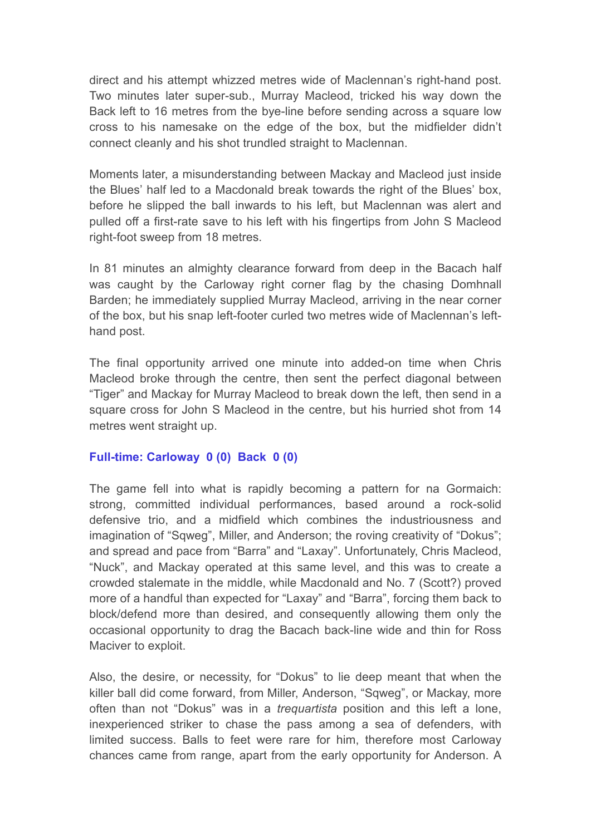direct and his attempt whizzed metres wide of Maclennan's right-hand post. Two minutes later super-sub., Murray Macleod, tricked his way down the Back left to 16 metres from the bye-line before sending across a square low cross to his namesake on the edge of the box, but the midfielder didn't connect cleanly and his shot trundled straight to Maclennan.

Moments later, a misunderstanding between Mackay and Macleod just inside the Blues' half led to a Macdonald break towards the right of the Blues' box, before he slipped the ball inwards to his left, but Maclennan was alert and pulled off a first-rate save to his left with his fingertips from John S Macleod right-foot sweep from 18 metres.

In 81 minutes an almighty clearance forward from deep in the Bacach half was caught by the Carloway right corner flag by the chasing Domhnall Barden; he immediately supplied Murray Macleod, arriving in the near corner of the box, but his snap left-footer curled two metres wide of Maclennan's lefthand post.

The final opportunity arrived one minute into added-on time when Chris Macleod broke through the centre, then sent the perfect diagonal between "Tiger" and Mackay for Murray Macleod to break down the left, then send in a square cross for John S Macleod in the centre, but his hurried shot from 14 metres went straight up.

## **Full-time: Carloway 0 (0) Back 0 (0)**

The game fell into what is rapidly becoming a pattern for na Gormaich: strong, committed individual performances, based around a rock-solid defensive trio, and a midfield which combines the industriousness and imagination of "Sqweg", Miller, and Anderson; the roving creativity of "Dokus"; and spread and pace from "Barra" and "Laxay". Unfortunately, Chris Macleod, "Nuck", and Mackay operated at this same level, and this was to create a crowded stalemate in the middle, while Macdonald and No. 7 (Scott?) proved more of a handful than expected for "Laxay" and "Barra", forcing them back to block/defend more than desired, and consequently allowing them only the occasional opportunity to drag the Bacach back-line wide and thin for Ross Maciver to exploit.

Also, the desire, or necessity, for "Dokus" to lie deep meant that when the killer ball did come forward, from Miller, Anderson, "Sqweg", or Mackay, more often than not "Dokus" was in a *trequartista* position and this left a lone, inexperienced striker to chase the pass among a sea of defenders, with limited success. Balls to feet were rare for him, therefore most Carloway chances came from range, apart from the early opportunity for Anderson. A